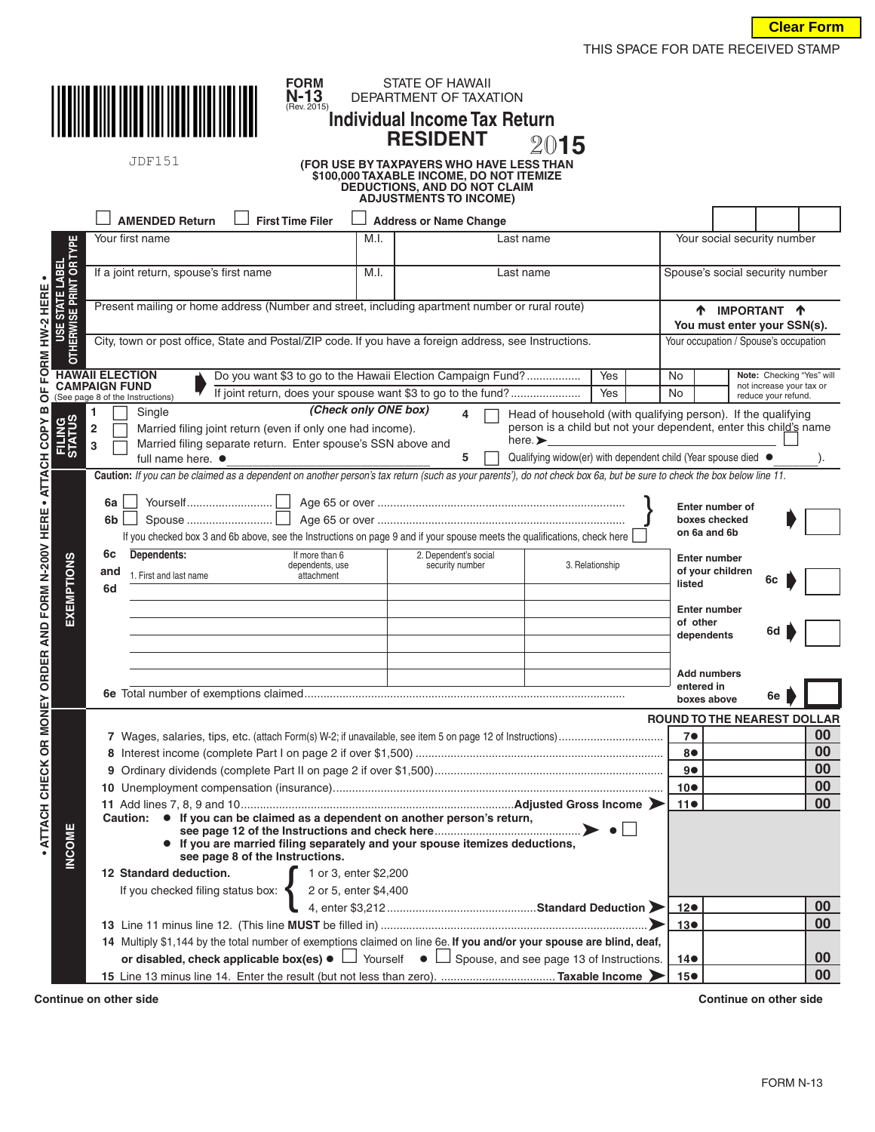

JDF151

## **N-13** DEPARTMENT OF TAXATION **FORM**<br>**N-13**<br>(Rev. 2015) **Individual Income Tax ReturnRESIDENT** 20**15**<br>For use by taxpayers who have less than

**STATE OF HAWAII** 

## **\$100,000 TAXABLE INCOME, DO NOT ITEMIZE DEDUCTIONS, AND DO NOT CLAIM ADJUSTMENTS TO INCOME)**

|                                                  | <b>AMENDED Return</b><br><b>First Time Filer</b>                                                                                                                                                                                        | <b>Address or Name Change</b>                                                                                        |                                                                   |                                                 |                             |        |  |  |  |
|--------------------------------------------------|-----------------------------------------------------------------------------------------------------------------------------------------------------------------------------------------------------------------------------------------|----------------------------------------------------------------------------------------------------------------------|-------------------------------------------------------------------|-------------------------------------------------|-----------------------------|--------|--|--|--|
|                                                  | Your first name<br>M.I.                                                                                                                                                                                                                 |                                                                                                                      | Last name                                                         |                                                 | Your social security number |        |  |  |  |
| <b>OR TYPE</b>                                   |                                                                                                                                                                                                                                         |                                                                                                                      |                                                                   |                                                 |                             |        |  |  |  |
| E STATE LABEL<br>/ISE PRINT OR T                 | If a joint return, spouse's first name<br>M.I.                                                                                                                                                                                          | Last name                                                                                                            |                                                                   | Spouse's social security number                 |                             |        |  |  |  |
| HW-2 HERE                                        | Present mailing or home address (Number and street, including apartment number or rural route)                                                                                                                                          |                                                                                                                      |                                                                   |                                                 |                             |        |  |  |  |
|                                                  |                                                                                                                                                                                                                                         | <b>1</b> IMPORTANT <b>1</b><br>You must enter your SSN(s).                                                           |                                                                   |                                                 |                             |        |  |  |  |
| <b>USE</b><br>ERWIS                              |                                                                                                                                                                                                                                         | City, town or post office, State and Postal/ZIP code. If you have a foreign address, see Instructions.               |                                                                   |                                                 |                             |        |  |  |  |
| $\overline{5}$                                   |                                                                                                                                                                                                                                         | Your occupation / Spouse's occupation                                                                                |                                                                   |                                                 |                             |        |  |  |  |
| FORM                                             | <b>HAWAII ELECTION</b><br>Do you want \$3 to go to the Hawaii Election Campaign Fund?                                                                                                                                                   | No                                                                                                                   | Note: Checking "Yes" will                                         |                                                 |                             |        |  |  |  |
| ៉                                                | <b>CAMPAIGN FUND</b><br>If joint return, does your spouse want \$3 to go to the fund?<br>(See page 8 of the Instructions)                                                                                                               | Yes                                                                                                                  | <b>No</b>                                                         | not increase your tax or<br>reduce your refund. |                             |        |  |  |  |
| ⋒                                                | (Check only ONE box)<br>Single                                                                                                                                                                                                          | Head of household (with qualifying person). If the qualifying                                                        |                                                                   |                                                 |                             |        |  |  |  |
| FILING<br>STATUS                                 | $\overline{2}$<br>Married filing joint return (even if only one had income).                                                                                                                                                            |                                                                                                                      | person is a child but not your dependent, enter this child's name |                                                 |                             |        |  |  |  |
|                                                  | 3<br>full name here. $\bullet$                                                                                                                                                                                                          | here. $\blacktriangleright$<br>Married filing separate return. Enter spouse's SSN above and<br>5                     |                                                                   |                                                 |                             |        |  |  |  |
|                                                  | Qualifying widow(er) with dependent child (Year spouse died ●<br>Caution: If you can be claimed as a dependent on another person's tax return (such as your parents'), do not check box 6a, but be sure to check the box below line 11. |                                                                                                                      |                                                                   |                                                 |                             |        |  |  |  |
| · ATTACH COPY                                    |                                                                                                                                                                                                                                         |                                                                                                                      |                                                                   |                                                 |                             |        |  |  |  |
|                                                  | 6a                                                                                                                                                                                                                                      |                                                                                                                      |                                                                   | Enter number of                                 |                             |        |  |  |  |
|                                                  | 6b                                                                                                                                                                                                                                      |                                                                                                                      |                                                                   | boxes checked<br>on 6a and 6b                   |                             |        |  |  |  |
|                                                  | If you checked box 3 and 6b above, see the Instructions on page 9 and if your spouse meets the qualifications, check here                                                                                                               |                                                                                                                      |                                                                   |                                                 |                             |        |  |  |  |
|                                                  | Dependents:<br>6c<br>If more than 6<br>dependents, use                                                                                                                                                                                  | 2. Dependent's social<br>security number                                                                             | <b>Enter number</b>                                               |                                                 |                             |        |  |  |  |
|                                                  | and<br>1. First and last name<br>attachment<br>6d                                                                                                                                                                                       |                                                                                                                      |                                                                   | of your children<br>listed                      | 6с                          |        |  |  |  |
| <b>EXEMPTIONS</b>                                |                                                                                                                                                                                                                                         |                                                                                                                      |                                                                   |                                                 |                             |        |  |  |  |
|                                                  |                                                                                                                                                                                                                                         |                                                                                                                      |                                                                   | Enter number<br>of other                        |                             |        |  |  |  |
|                                                  |                                                                                                                                                                                                                                         |                                                                                                                      |                                                                   | dependents                                      | 6d                          |        |  |  |  |
|                                                  |                                                                                                                                                                                                                                         |                                                                                                                      |                                                                   |                                                 |                             |        |  |  |  |
|                                                  |                                                                                                                                                                                                                                         |                                                                                                                      |                                                                   | <b>Add numbers</b>                              |                             |        |  |  |  |
|                                                  |                                                                                                                                                                                                                                         |                                                                                                                      |                                                                   | entered in<br>boxes above                       | 6e                          |        |  |  |  |
| ATTACH CHECK OR MONEY ORDER AND FORM N-200V HERE | <b>ROUND TO THE NEAREST DOLLAR</b>                                                                                                                                                                                                      |                                                                                                                      |                                                                   |                                                 |                             |        |  |  |  |
|                                                  |                                                                                                                                                                                                                                         | 7 <sub>•</sub>                                                                                                       |                                                                   | 00                                              |                             |        |  |  |  |
|                                                  |                                                                                                                                                                                                                                         | 8●                                                                                                                   |                                                                   | 00<br>00                                        |                             |        |  |  |  |
|                                                  |                                                                                                                                                                                                                                         |                                                                                                                      |                                                                   |                                                 |                             |        |  |  |  |
|                                                  |                                                                                                                                                                                                                                         |                                                                                                                      |                                                                   |                                                 |                             |        |  |  |  |
|                                                  |                                                                                                                                                                                                                                         | • If you can be claimed as a dependent on another person's return,<br>Caution:                                       |                                                                   |                                                 |                             |        |  |  |  |
| OME                                              |                                                                                                                                                                                                                                         |                                                                                                                      |                                                                   |                                                 |                             |        |  |  |  |
|                                                  | • If you are married filing separately and your spouse itemizes deductions,<br>see page 8 of the Instructions.                                                                                                                          |                                                                                                                      |                                                                   |                                                 |                             |        |  |  |  |
| $\frac{c}{2}$                                    | 12 Standard deduction.<br>1 or 3, enter \$2,200                                                                                                                                                                                         |                                                                                                                      |                                                                   |                                                 |                             |        |  |  |  |
|                                                  | If you checked filing status box:                                                                                                                                                                                                       |                                                                                                                      |                                                                   |                                                 |                             |        |  |  |  |
|                                                  |                                                                                                                                                                                                                                         |                                                                                                                      |                                                                   | 12●                                             |                             | 00     |  |  |  |
|                                                  |                                                                                                                                                                                                                                         |                                                                                                                      |                                                                   | 13 <sub>•</sub>                                 |                             | $00\,$ |  |  |  |
|                                                  |                                                                                                                                                                                                                                         | 14 Multiply \$1,144 by the total number of exemptions claimed on line 6e. If you and/or your spouse are blind, deaf, |                                                                   |                                                 |                             |        |  |  |  |
|                                                  | or disabled, check applicable box(es) $\bullet$ $\Box$ Yourself $\bullet$ $\Box$ Spouse, and see page 13 of Instructions.                                                                                                               |                                                                                                                      |                                                                   | 14 <sup>o</sup>                                 |                             | 00     |  |  |  |
|                                                  |                                                                                                                                                                                                                                         |                                                                                                                      |                                                                   | 15 <sup>o</sup>                                 |                             | 00     |  |  |  |

**Continue on other side Continue on other side**